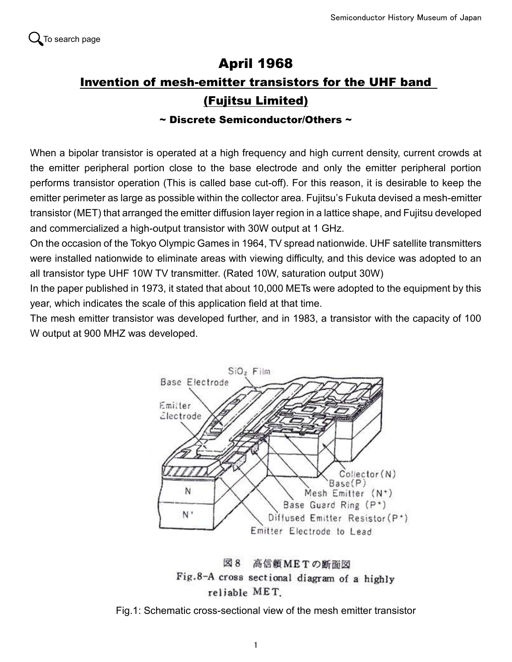## April 1968 Invention of mesh-emitter transistors for the UHF band (Fujitsu Limited)

## $\sim$  Discrete Semiconductor/Others  $\sim$

When a bipolar transistor is operated at a high frequency and high current density, current crowds at the emitter peripheral portion close to the base electrode and only the emitter peripheral portion performs transistor operation (This is called base cut-off). For this reason, it is desirable to keep the emitter perimeter as large as possible within the collector area. Fujitsu's Fukuta devised a mesh-emitter transistor (MET) that arranged the emitter diffusion layer region in a lattice shape, and Fujitsu developed and commercialized a high-output transistor with 30W output at 1 GHz.

On the occasion of the Tokyo Olympic Games in 1964, TV spread nationwide. UHF satellite transmitters were installed nationwide to eliminate areas with viewing difficulty, and this device was adopted to an all transistor type UHF 10W TV transmitter. (Rated 10W, saturation output 30W)

In the paper published in 1973, it stated that about 10,000 METs were adopted to the equipment by this year, which indicates the scale of this application field at that time.

The mesh emitter transistor was developed further, and in 1983, a transistor with the capacity of 100 W output at 900 MHZ was developed.